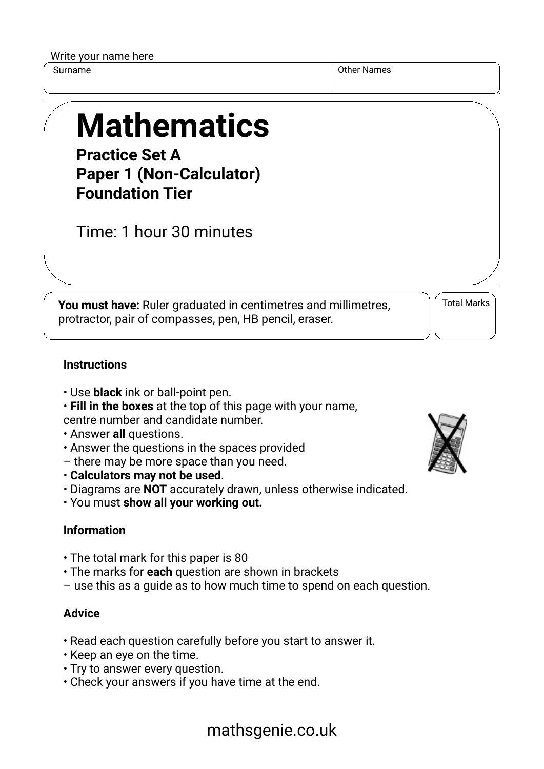| Write your name here |  |  |  |
|----------------------|--|--|--|
|----------------------|--|--|--|

Surname **Other Names** Other Names **Other Names** 

# **Mathematics**

**Practice Set A Paper 1 (Non-Calculator) Foundation Tier**

Time: 1 hour 30 minutes

**You must have:** Ruler graduated in centimetres and millimetres, protractor, pair of compasses, pen, HB pencil, eraser.

Total Marks

#### **Instructions**

- Use **black** ink or ball-point pen.
- **Fill in the boxes** at the top of this page with your name, centre number and candidate number.
- Answer **all** questions.
- Answer the questions in the spaces provided
- there may be more space than you need.
- **Calculators may not be used**.
- Diagrams are **NOT** accurately drawn, unless otherwise indicated.
- You must **show all your working out.**

#### **Information**

- The total mark for this paper is 80
- The marks for **each** question are shown in brackets
- use this as a guide as to how much time to spend on each question.

#### **Advice**

- Read each question carefully before you start to answer it.
- Keep an eye on the time.
- Try to answer every question.
- Check your answers if you have time at the end.



## mathsgenie.co.uk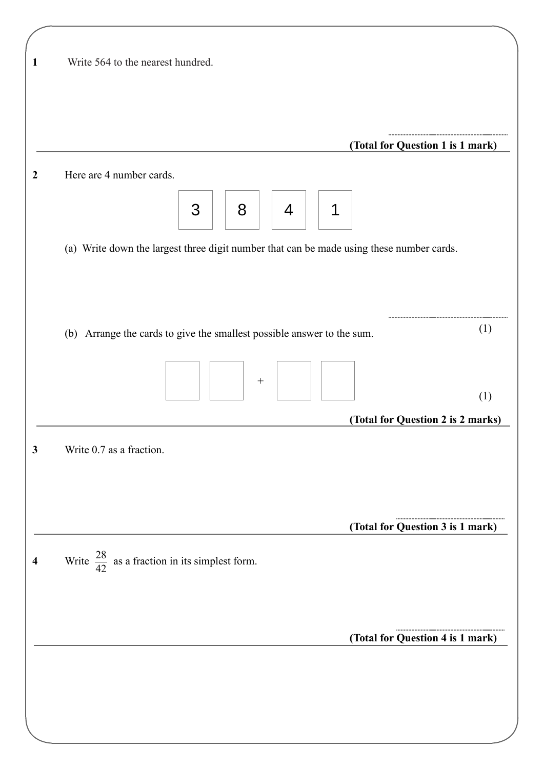| Write 564 to the nearest hundred.                                                        |                                          |
|------------------------------------------------------------------------------------------|------------------------------------------|
|                                                                                          |                                          |
|                                                                                          | (Total for Question 1 is 1 mark)         |
| Here are 4 number cards.                                                                 |                                          |
| 3<br>8<br>1<br>4                                                                         |                                          |
| (a) Write down the largest three digit number that can be made using these number cards. |                                          |
|                                                                                          |                                          |
|                                                                                          |                                          |
| (b) Arrange the cards to give the smallest possible answer to the sum.                   | (1)                                      |
|                                                                                          |                                          |
|                                                                                          |                                          |
|                                                                                          | (1)<br>(Total for Question 2 is 2 marks) |
| Write 0.7 as a fraction.                                                                 |                                          |
|                                                                                          |                                          |
|                                                                                          |                                          |
|                                                                                          | (Total for Question 3 is 1 mark)         |
| Write $\frac{28}{42}$ as a fraction in its simplest form.                                |                                          |
|                                                                                          |                                          |
|                                                                                          |                                          |
|                                                                                          | (Total for Question 4 is 1 mark)         |
|                                                                                          |                                          |
|                                                                                          |                                          |
|                                                                                          |                                          |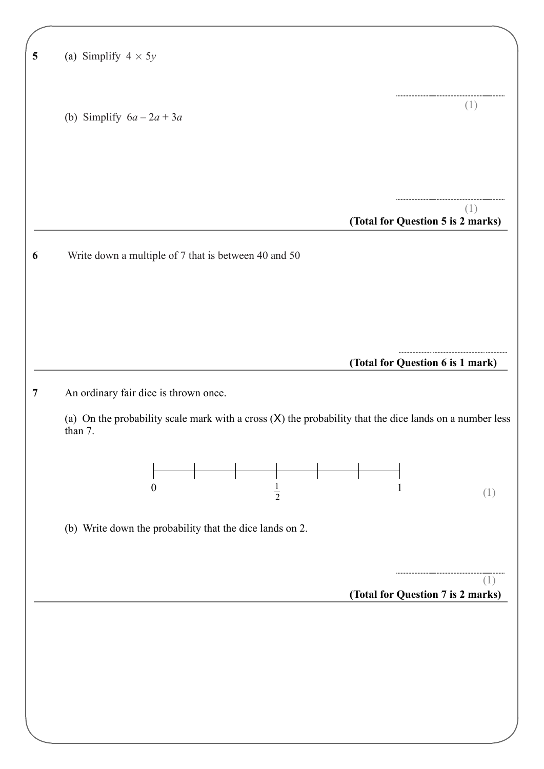| (a) Simplify $4 \times 5y$                                                                                           |              |                                          |
|----------------------------------------------------------------------------------------------------------------------|--------------|------------------------------------------|
| (b) Simplify $6a - 2a + 3a$                                                                                          |              | (1)                                      |
|                                                                                                                      |              |                                          |
|                                                                                                                      |              | (1)<br>(Total for Question 5 is 2 marks) |
| Write down a multiple of 7 that is between 40 and 50                                                                 |              |                                          |
|                                                                                                                      |              |                                          |
|                                                                                                                      |              |                                          |
|                                                                                                                      |              |                                          |
|                                                                                                                      |              |                                          |
| An ordinary fair dice is thrown once.                                                                                |              |                                          |
| (a) On the probability scale mark with a cross $(X)$ the probability that the dice lands on a number less<br>than 7. |              |                                          |
| $\boldsymbol{0}$<br>$\frac{1}{2}$                                                                                    | $\mathbf{1}$ |                                          |
| (b) Write down the probability that the dice lands on 2.                                                             |              |                                          |
|                                                                                                                      |              | (Total for Question 6 is 1 mark)<br>(1)  |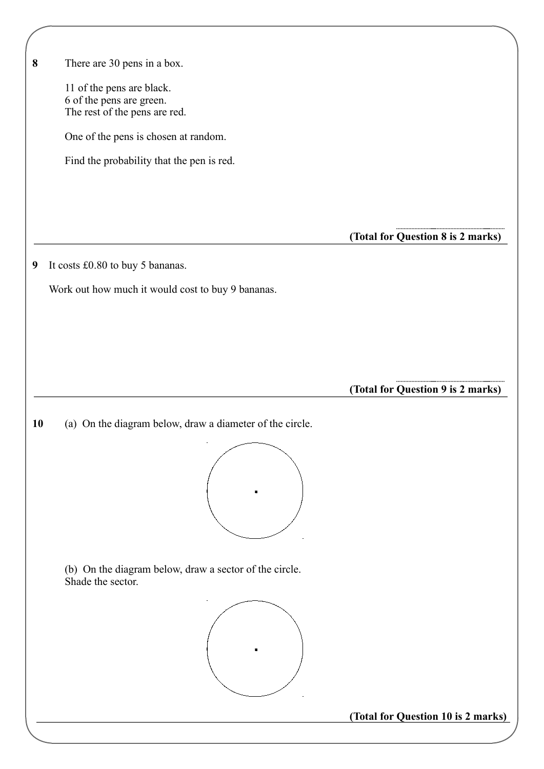**(Total for Question 8 is 2 marks) 8** There are 30 pens in a box. 11 of the pens are black. 6 of the pens are green. The rest of the pens are red. One of the pens is chosen at random. Find the probability that the pen is red. **9** It costs £0.80 to buy 5 bananas. Work out how much it would cost to buy 9 bananas. **(Total for Question 9 is 2 marks) 10**  (a) On the diagram below, draw a diameter of the circle. (b) On the diagram below, draw a sector of the circle. Shade the sector.

**(Total for Question 10 is 2 marks)**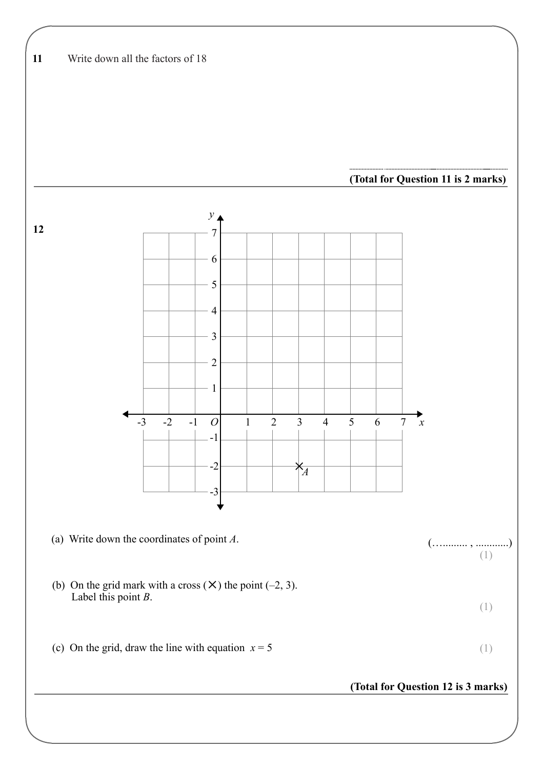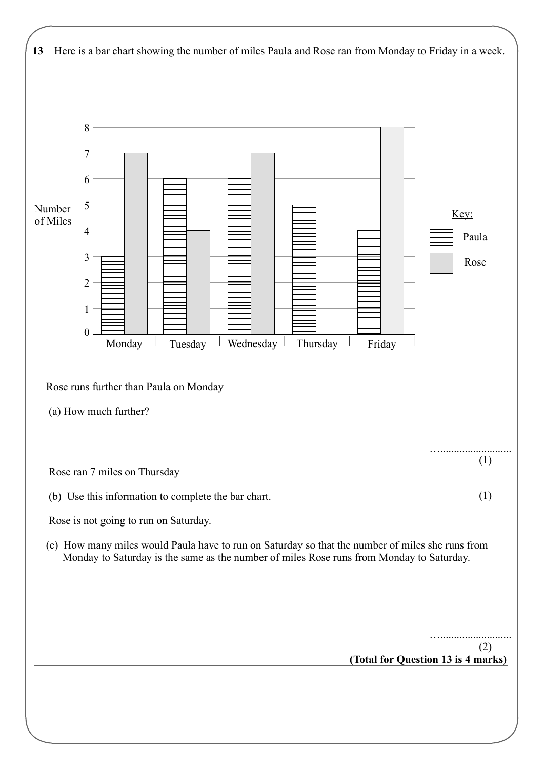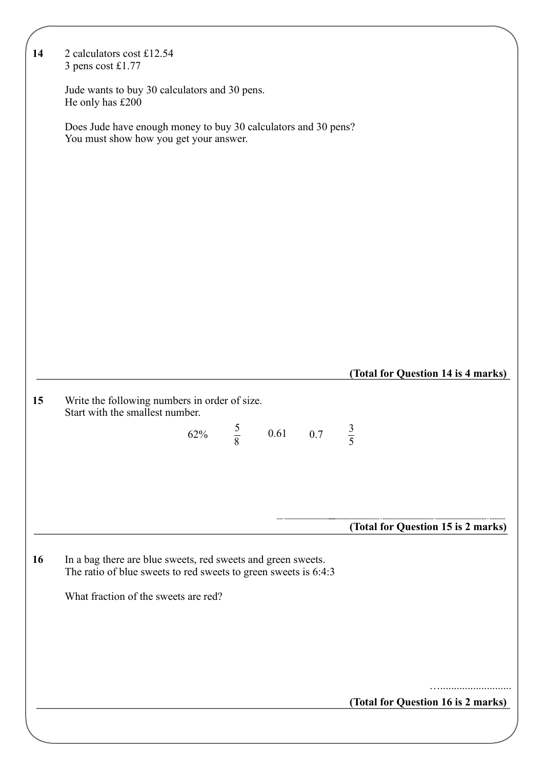| 14 | 2 calculators cost £12.54<br>3 pens cost £1.77                                                                                    |     |             |          |                                    |
|----|-----------------------------------------------------------------------------------------------------------------------------------|-----|-------------|----------|------------------------------------|
|    | Jude wants to buy 30 calculators and 30 pens.<br>He only has £200                                                                 |     |             |          |                                    |
|    | Does Jude have enough money to buy 30 calculators and 30 pens?<br>You must show how you get your answer.                          |     |             |          |                                    |
|    |                                                                                                                                   |     |             |          |                                    |
|    |                                                                                                                                   |     |             |          |                                    |
|    |                                                                                                                                   |     |             |          |                                    |
|    |                                                                                                                                   |     |             |          |                                    |
|    |                                                                                                                                   |     |             |          |                                    |
|    |                                                                                                                                   |     |             |          |                                    |
|    |                                                                                                                                   |     |             |          | (Total for Question 14 is 4 marks) |
| 15 | Write the following numbers in order of size.<br>Start with the smallest number.                                                  |     |             |          |                                    |
|    |                                                                                                                                   | 62% | $rac{5}{8}$ | 0.61 0.7 | $rac{3}{5}$                        |
|    |                                                                                                                                   |     |             |          |                                    |
|    |                                                                                                                                   |     |             |          |                                    |
|    |                                                                                                                                   |     |             |          | (Total for Question 15 is 2 marks) |
| 16 | In a bag there are blue sweets, red sweets and green sweets.<br>The ratio of blue sweets to red sweets to green sweets is $6:4:3$ |     |             |          |                                    |
|    | What fraction of the sweets are red?                                                                                              |     |             |          |                                    |
|    |                                                                                                                                   |     |             |          |                                    |
|    |                                                                                                                                   |     |             |          |                                    |
|    |                                                                                                                                   |     |             |          | (Total for Question 16 is 2 marks) |
|    |                                                                                                                                   |     |             |          |                                    |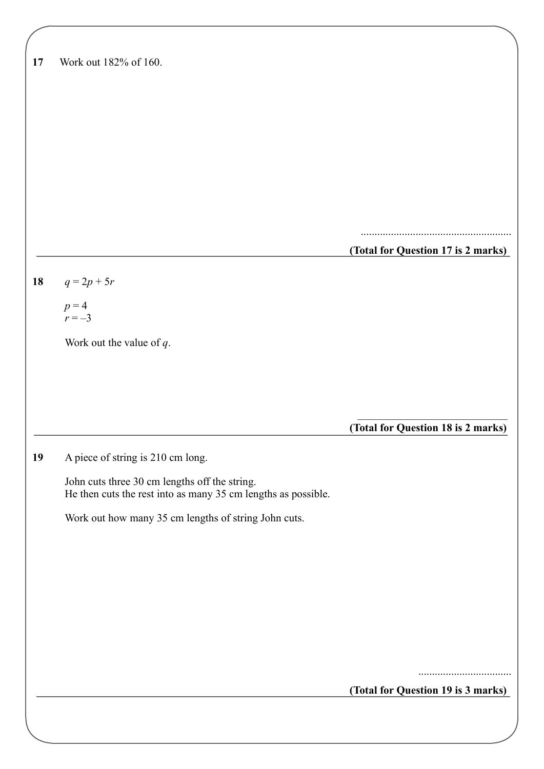| 17 | Work out 182% of 160. |
|----|-----------------------|
|----|-----------------------|

| (Total for Question 17 is 2 marks) |  |  |
|------------------------------------|--|--|

.......................................................

**18**  $q = 2p + 5r$ 

 $p = 4$  $r = -3$ 

Work out the value of *q*.

**(Total for Question 18 is 2 marks)**

### **19** A piece of string is 210 cm long.

 John cuts three 30 cm lengths off the string. He then cuts the rest into as many 35 cm lengths as possible.

Work out how many 35 cm lengths of string John cuts.

..................................

**(Total for Question 19 is 3 marks)**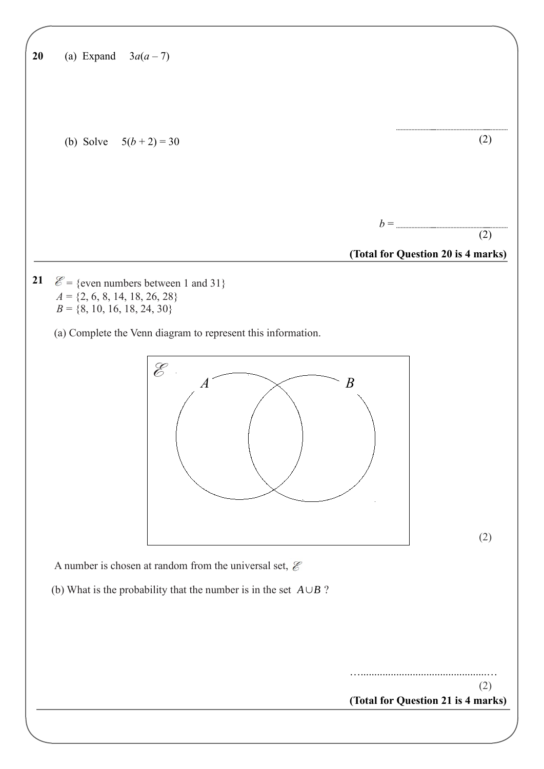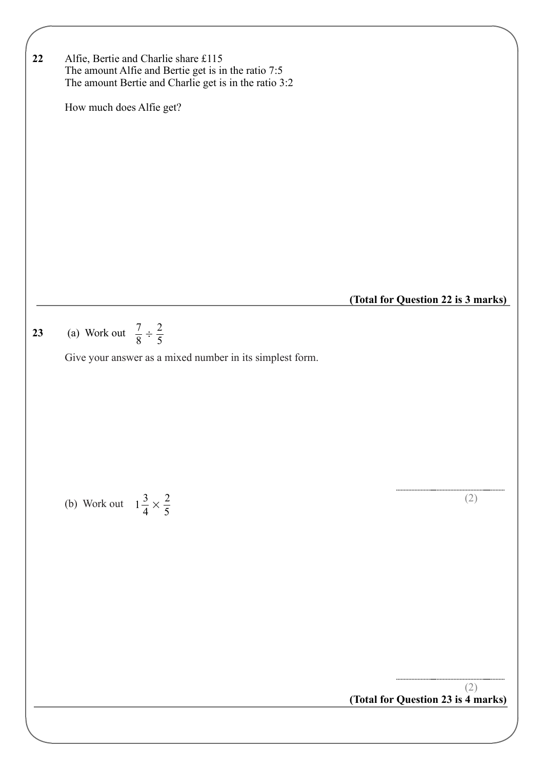7  $\frac{1}{8}$  ÷ 2 5 **23** (a) Work out Give your answer as a mixed number in its simplest form. (b) Work out  $1\frac{3}{4} \times \frac{2}{5}$  (2) **(Total for Question 23 is 4 marks)**  $\frac{5}{4}$   $\times$ 2 5 (2) **22** Alfie, Bertie and Charlie share £115 The amount Alfie and Bertie get is in the ratio 7:5 The amount Bertie and Charlie get is in the ratio 3:2 How much does Alfie get? **(Total for Question 22 is 3 marks)**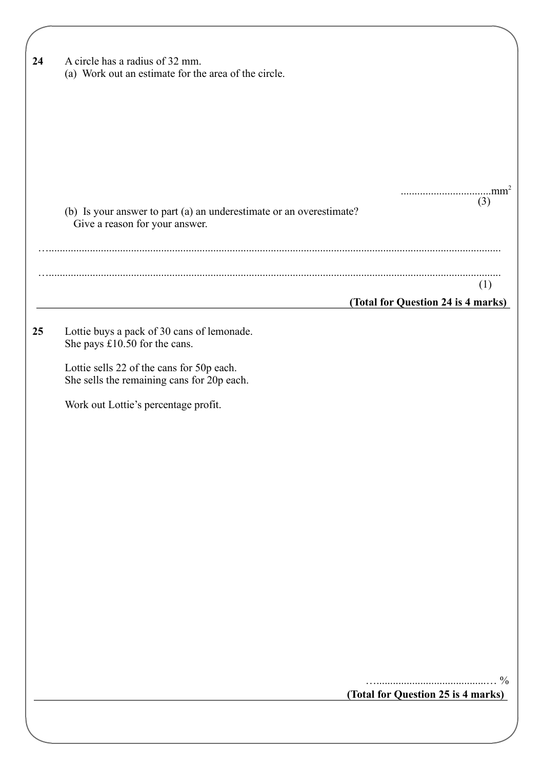| 24 | A circle has a radius of 32 mm.<br>(a) Work out an estimate for the area of the circle.               |                                    |  |
|----|-------------------------------------------------------------------------------------------------------|------------------------------------|--|
|    |                                                                                                       |                                    |  |
|    |                                                                                                       |                                    |  |
|    | (b) Is your answer to part (a) an underestimate or an overestimate?<br>Give a reason for your answer. | (3)                                |  |
|    |                                                                                                       |                                    |  |
|    |                                                                                                       | (1)                                |  |
|    |                                                                                                       | (Total for Question 24 is 4 marks) |  |
| 25 | Lottie buys a pack of 30 cans of lemonade.<br>She pays £10.50 for the cans.                           |                                    |  |
|    | Lottie sells 22 of the cans for 50p each.<br>She sells the remaining cans for 20p each.               |                                    |  |
|    | Work out Lottie's percentage profit.                                                                  |                                    |  |
|    |                                                                                                       |                                    |  |
|    |                                                                                                       |                                    |  |
|    |                                                                                                       |                                    |  |
|    |                                                                                                       |                                    |  |
|    |                                                                                                       |                                    |  |
|    |                                                                                                       |                                    |  |
|    |                                                                                                       |                                    |  |
|    |                                                                                                       |                                    |  |
|    |                                                                                                       | $\frac{0}{0}$                      |  |
|    |                                                                                                       | (Total for Question 25 is 4 marks) |  |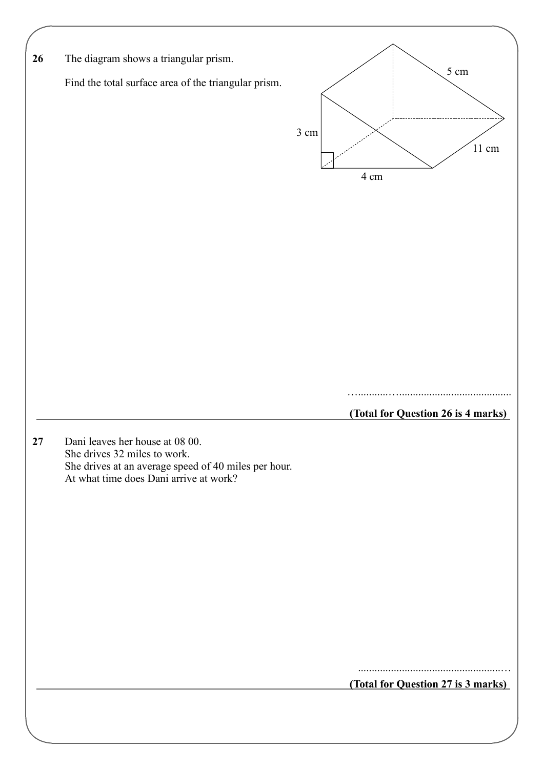| 26 | The diagram shows a triangular prism.                                                                                   |      |      |                                    |
|----|-------------------------------------------------------------------------------------------------------------------------|------|------|------------------------------------|
|    | Find the total surface area of the triangular prism.                                                                    |      |      | 5 cm                               |
|    |                                                                                                                         | 3 cm | 4 cm | $11\;{\rm cm}$                     |
|    |                                                                                                                         |      |      |                                    |
|    |                                                                                                                         |      |      |                                    |
|    |                                                                                                                         |      |      |                                    |
|    |                                                                                                                         |      |      | (Total for Question 26 is 4 marks) |
|    | Dani leaves her house at 08 00.<br>She drives 32 miles to work.<br>She drives at an average speed of 40 miles per hour. |      |      |                                    |
|    | At what time does Dani arrive at work?                                                                                  |      |      |                                    |
|    |                                                                                                                         |      |      |                                    |
|    |                                                                                                                         |      |      |                                    |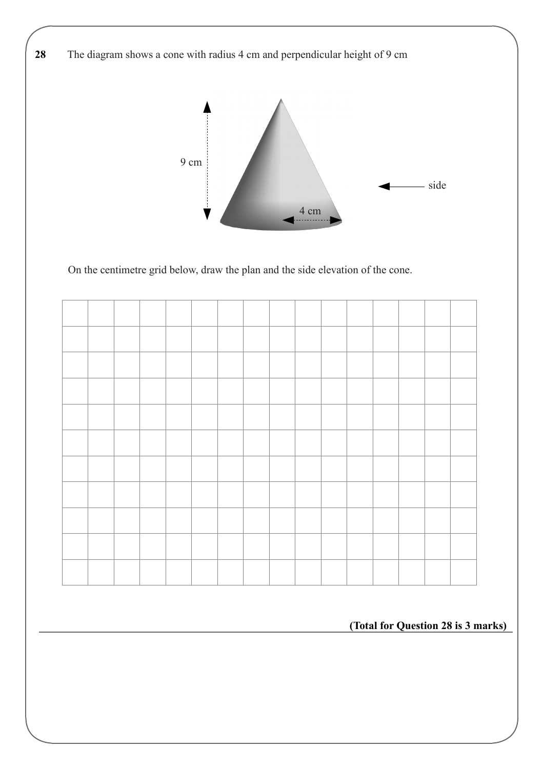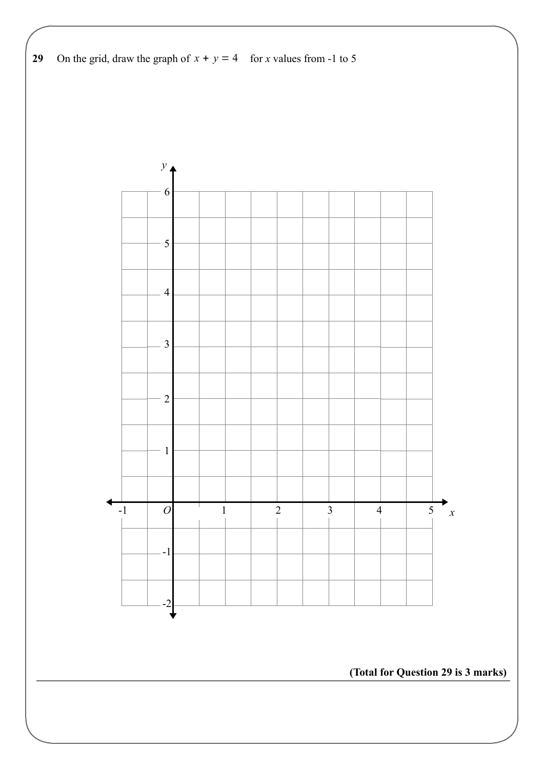